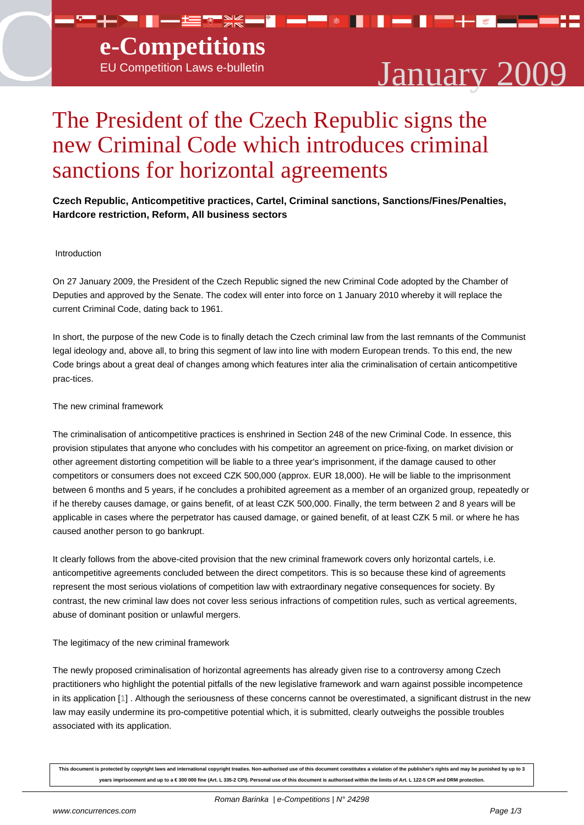# EU Competition Laws e-bulletin January 2009

## The President of the Czech Republic signs the new Criminal Code which introduces criminal sanctions for horizontal agreements

### **Czech Republic, Anticompetitive practices, Cartel, Criminal sanctions, Sanctions/Fines/Penalties, Hardcore restriction, Reform, All business sectors**

#### Introduction

On 27 January 2009, the President of the Czech Republic signed the new Criminal Code adopted by the Chamber of Deputies and approved by the Senate. The codex will enter into force on 1 January 2010 whereby it will replace the current Criminal Code, dating back to 1961.

In short, the purpose of the new Code is to finally detach the Czech criminal law from the last remnants of the Communist legal ideology and, above all, to bring this segment of law into line with modern European trends. To this end, the new Code brings about a great deal of changes among which features inter alia the criminalisation of certain anticompetitive prac-tices.

#### The new criminal framework

The criminalisation of anticompetitive practices is enshrined in Section 248 of the new Criminal Code. In essence, this provision stipulates that anyone who concludes with his competitor an agreement on price-fixing, on market division or other agreement distorting competition will be liable to a three year's imprisonment, if the damage caused to other competitors or consumers does not exceed CZK 500,000 (approx. EUR 18,000). He will be liable to the imprisonment between 6 months and 5 years, if he concludes a prohibited agreement as a member of an organized group, repeatedly or if he thereby causes damage, or gains benefit, of at least CZK 500,000. Finally, the term between 2 and 8 years will be applicable in cases where the perpetrator has caused damage, or gained benefit, of at least CZK 5 mil. or where he has caused another person to go bankrupt.

It clearly follows from the above-cited provision that the new criminal framework covers only horizontal cartels, i.e. anticompetitive agreements concluded between the direct competitors. This is so because these kind of agreements represent the most serious violations of competition law with extraordinary negative consequences for society. By contrast, the new criminal law does not cover less serious infractions of competition rules, such as vertical agreements, abuse of dominant position or unlawful mergers.

#### The legitimacy of the new criminal framework

The newly proposed criminalisation of horizontal agreements has already given rise to a controversy among Czech practitioners who highlight the potential pitfalls of the new legislative framework and warn against possible incompetence in its application [1] . Although the seriousness of these concerns cannot be overestimated, a significant distrust in the new law may easily undermine its pro-competitive potential which, it is submitted, clearly outweighs the possible troubles associated with its application.

**This document is protected by copyright laws and international copyright treaties. Non-authorised use of this document constitutes a violation of the publisher's rights and may be punished by up to 3** years imprisonment and up to a € 300 000 fine (Art. L 335-2 CPI). Personal use of this document is authorised within the limits of Art. L 122-5 CPI and DRM protection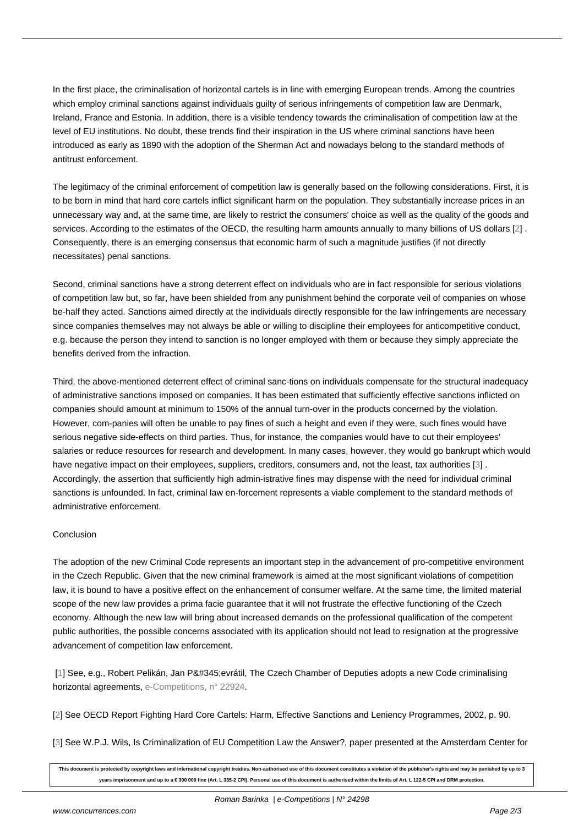In the first place, the criminalisation of horizontal cartels is in line with emerging European trends. Among the countries which employ criminal sanctions against individuals guilty of serious infringements of competition law are Denmark, Ireland, France and Estonia. In addition, there is a visible tendency towards the criminalisation of competition law at the level of EU institutions. No doubt, these trends find their inspiration in the US where criminal sanctions have been introduced as early as 1890 with the adoption of the Sherman Act and nowadays belong to the standard methods of antitrust enforcement.

The legitimacy of the criminal enforcement of competition law is generally based on the following considerations. First, it is to be born in mind that hard core cartels inflict significant harm on the population. They substantially increase prices in an unnecessary way and, at the same time, are likely to restrict the consumers' choice as well as the quality of the goods and services. According to the estimates of the OECD, the resulting harm amounts annually to many billions of US dollars [2] . Consequently, there is an emerging consensus that economic harm of such a magnitude justifies (if not directly necessitates) penal sanctions.

Second, criminal sanctions have a strong deterrent effect on individuals who are in fact responsible for serious violatio[ns](#nb2) of competition law but, so far, have been shielded from any punishment behind the corporate veil of companies on whose be-half they acted. Sanctions aimed directly at the individuals directly responsible for the law infringements are necessary since companies themselves may not always be able or willing to discipline their employees for anticompetitive conduct, e.g. because the person they intend to sanction is no longer employed with them or because they simply appreciate the benefits derived from the infraction.

Third, the above-mentioned deterrent effect of criminal sanc-tions on individuals compensate for the structural inadequacy of administrative sanctions imposed on companies. It has been estimated that sufficiently effective sanctions inflicted on companies should amount at minimum to 150% of the annual turn-over in the products concerned by the violation. However, com-panies will often be unable to pay fines of such a height and even if they were, such fines would have serious negative side-effects on third parties. Thus, for instance, the companies would have to cut their employees' salaries or reduce resources for research and development. In many cases, however, they would go bankrupt which would have negative impact on their employees, suppliers, creditors, consumers and, not the least, tax authorities [3] . Accordingly, the assertion that sufficiently high admin-istrative fines may dispense with the need for individual criminal sanctions is unfounded. In fact, criminal law en-forcement represents a viable complement to the standard methods of administrative enforcement.

#### **Conclusion**

The adoption of the new Criminal Code represents an important step in the advancement of pro-competitive environment in the Czech Republic. Given that the new criminal framework is aimed at the most significant violations of competition law, it is bound to have a positive effect on the enhancement of consumer welfare. At the same time, the limited material scope of the new law provides a prima facie guarantee that it will not frustrate the effective functioning of the Czech economy. Although the new law will bring about increased demands on the professional qualification of the competent public authorities, the possible concerns associated with its application should not lead to resignation at the progressive advancement of competition law enforcement.

[1] See, e.g., Robert Pelikán, Jan Převrátil, The Czech Chamber of Deputies adopts a new Code criminalising horizontal agreements, e-Competitions, n° 22924.

[[2\]](#nh1) See OECD Report Fighting Hard Core Cartels: Harm, Effective Sanctions and Leniency Programmes, 2002, p. 90.

[3] See W.P.J. Wils, Is [Criminalization of EU Com](http://www.concurrences.com/article_bulletin.php3?id_article=22924&lang=en)petition Law the Answer?, paper presented at the Amsterdam Center for

**[T](#nh2)his document is protected by copyright laws and international copyright treaties. Non-authorised use of this document constitutes a violation of the publisher's rights and may be punished by up to 3 years imprisonment and up to a € 300 000 fine (Art. L 335-2 CPI). Personal use of this document is authorised within the limits of Art. L 122-5 CPI and DRM protection.**